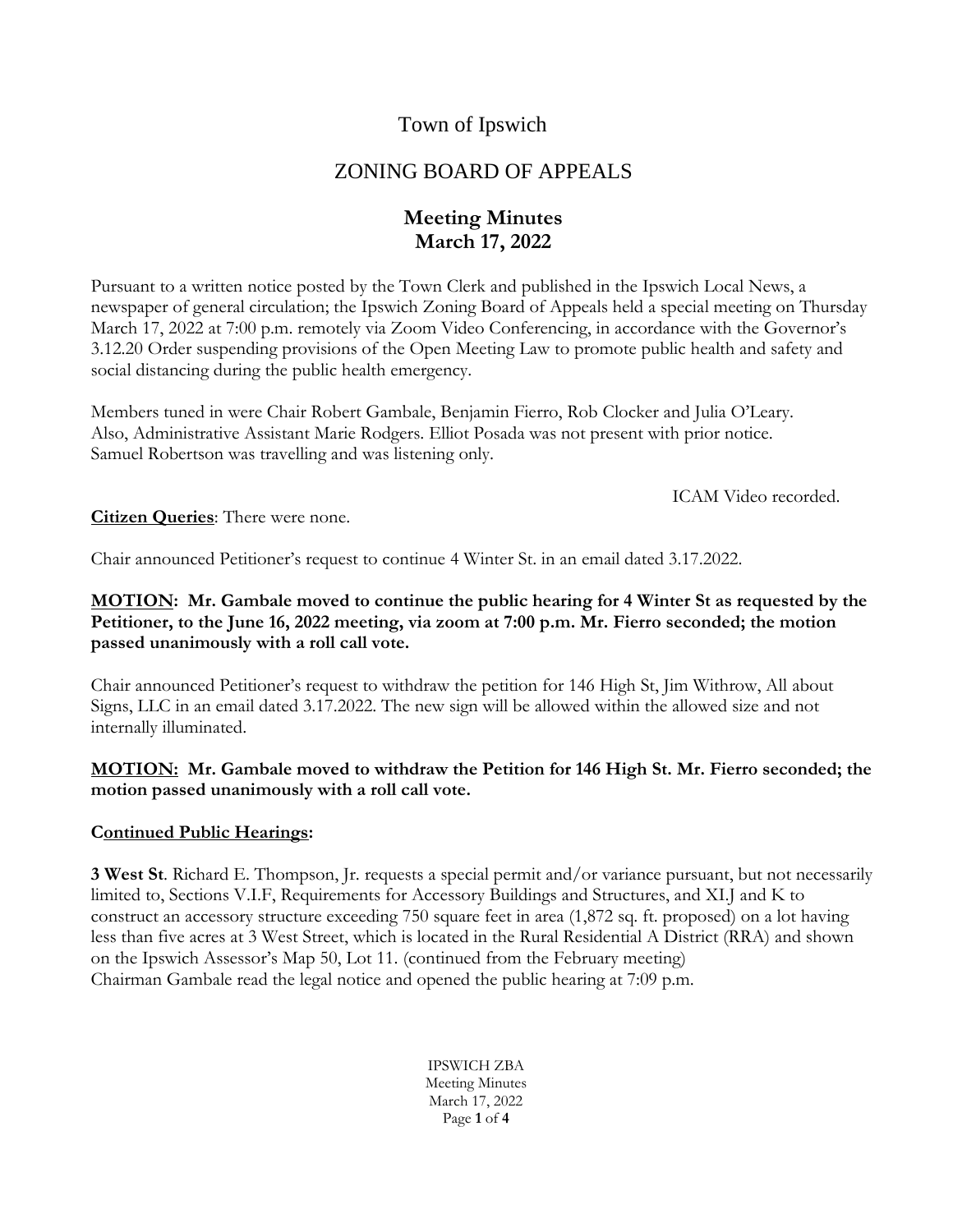# Town of Ipswich

# ZONING BOARD OF APPEALS

# **Meeting Minutes March 17, 2022**

Pursuant to a written notice posted by the Town Clerk and published in the Ipswich Local News, a newspaper of general circulation; the Ipswich Zoning Board of Appeals held a special meeting on Thursday March 17, 2022 at 7:00 p.m. remotely via Zoom Video Conferencing, in accordance with the Governor's 3.12.20 Order suspending provisions of the Open Meeting Law to promote public health and safety and social distancing during the public health emergency.

Members tuned in were Chair Robert Gambale, Benjamin Fierro, Rob Clocker and Julia O'Leary. Also, Administrative Assistant Marie Rodgers. Elliot Posada was not present with prior notice. Samuel Robertson was travelling and was listening only.

ICAM Video recorded.

**Citizen Queries**: There were none.

Chair announced Petitioner's request to continue 4 Winter St. in an email dated 3.17.2022.

## **MOTION: Mr. Gambale moved to continue the public hearing for 4 Winter St as requested by the Petitioner, to the June 16, 2022 meeting, via zoom at 7:00 p.m. Mr. Fierro seconded; the motion passed unanimously with a roll call vote.**

Chair announced Petitioner's request to withdraw the petition for 146 High St, Jim Withrow, All about Signs, LLC in an email dated 3.17.2022. The new sign will be allowed within the allowed size and not internally illuminated.

### **MOTION: Mr. Gambale moved to withdraw the Petition for 146 High St. Mr. Fierro seconded; the motion passed unanimously with a roll call vote.**

## **Continued Public Hearings:**

**3 West St**. Richard E. Thompson, Jr. requests a special permit and/or variance pursuant, but not necessarily limited to, Sections V.I.F, Requirements for Accessory Buildings and Structures, and XI.J and K to construct an accessory structure exceeding 750 square feet in area (1,872 sq. ft. proposed) on a lot having less than five acres at 3 West Street, which is located in the Rural Residential A District (RRA) and shown on the Ipswich Assessor's Map 50, Lot 11. (continued from the February meeting) Chairman Gambale read the legal notice and opened the public hearing at 7:09 p.m.

> IPSWICH ZBA Meeting Minutes March 17, 2022 Page **1** of **4**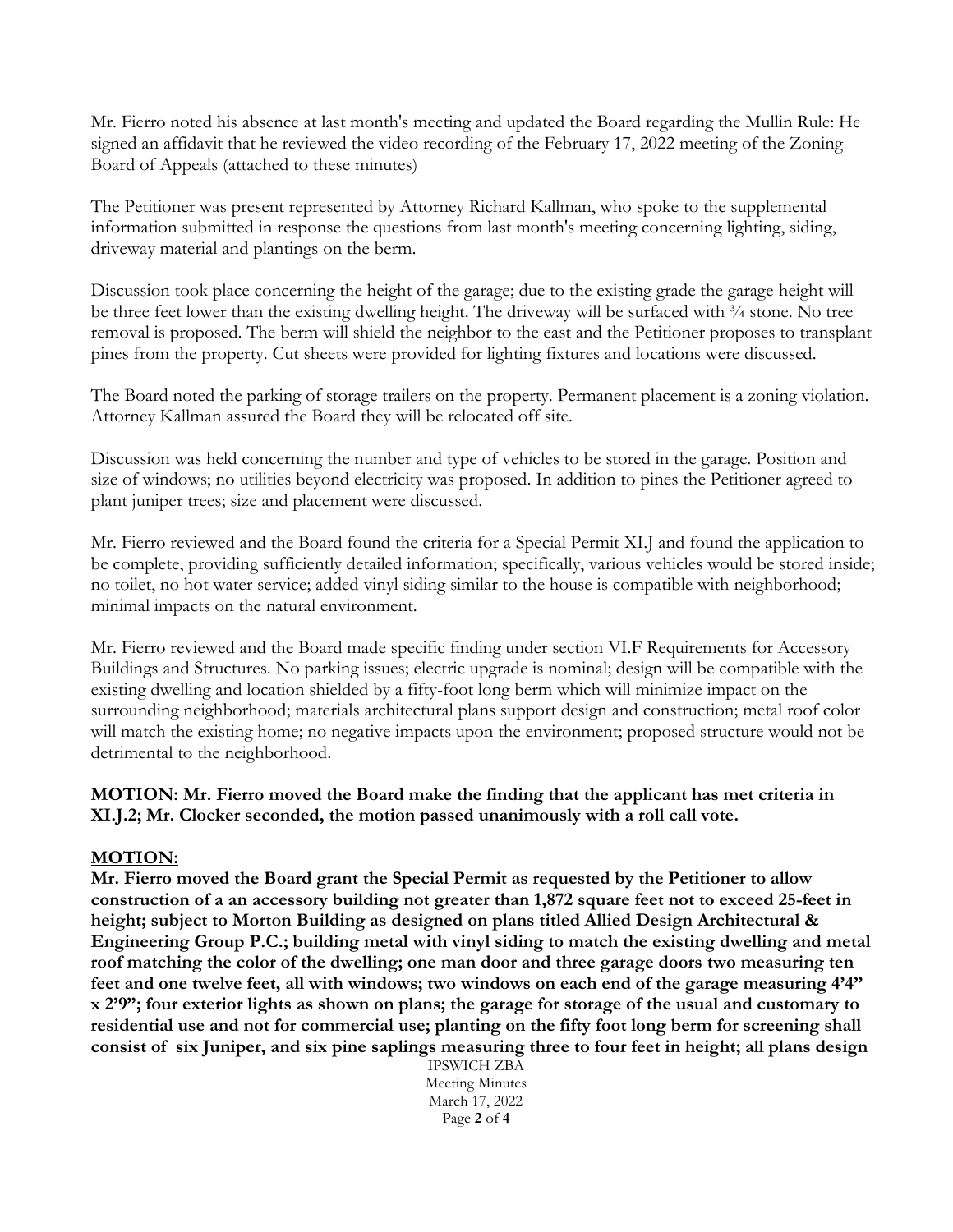Mr. Fierro noted his absence at last month's meeting and updated the Board regarding the Mullin Rule: He signed an affidavit that he reviewed the video recording of the February 17, 2022 meeting of the Zoning Board of Appeals (attached to these minutes)

The Petitioner was present represented by Attorney Richard Kallman, who spoke to the supplemental information submitted in response the questions from last month's meeting concerning lighting, siding, driveway material and plantings on the berm.

Discussion took place concerning the height of the garage; due to the existing grade the garage height will be three feet lower than the existing dwelling height. The driveway will be surfaced with  $\frac{3}{4}$  stone. No tree removal is proposed. The berm will shield the neighbor to the east and the Petitioner proposes to transplant pines from the property. Cut sheets were provided for lighting fixtures and locations were discussed.

The Board noted the parking of storage trailers on the property. Permanent placement is a zoning violation. Attorney Kallman assured the Board they will be relocated off site.

Discussion was held concerning the number and type of vehicles to be stored in the garage. Position and size of windows; no utilities beyond electricity was proposed. In addition to pines the Petitioner agreed to plant juniper trees; size and placement were discussed.

Mr. Fierro reviewed and the Board found the criteria for a Special Permit XI.J and found the application to be complete, providing sufficiently detailed information; specifically, various vehicles would be stored inside; no toilet, no hot water service; added vinyl siding similar to the house is compatible with neighborhood; minimal impacts on the natural environment.

Mr. Fierro reviewed and the Board made specific finding under section VI.F Requirements for Accessory Buildings and Structures. No parking issues; electric upgrade is nominal; design will be compatible with the existing dwelling and location shielded by a fifty-foot long berm which will minimize impact on the surrounding neighborhood; materials architectural plans support design and construction; metal roof color will match the existing home; no negative impacts upon the environment; proposed structure would not be detrimental to the neighborhood.

**MOTION: Mr. Fierro moved the Board make the finding that the applicant has met criteria in XI.J.2; Mr. Clocker seconded, the motion passed unanimously with a roll call vote.**

#### **MOTION:**

**Mr. Fierro moved the Board grant the Special Permit as requested by the Petitioner to allow construction of a an accessory building not greater than 1,872 square feet not to exceed 25-feet in height; subject to Morton Building as designed on plans titled Allied Design Architectural & Engineering Group P.C.; building metal with vinyl siding to match the existing dwelling and metal roof matching the color of the dwelling; one man door and three garage doors two measuring ten feet and one twelve feet, all with windows; two windows on each end of the garage measuring 4'4" x 2'9"; four exterior lights as shown on plans; the garage for storage of the usual and customary to residential use and not for commercial use; planting on the fifty foot long berm for screening shall consist of six Juniper, and six pine saplings measuring three to four feet in height; all plans design** 

> IPSWICH ZBA Meeting Minutes March 17, 2022 Page **2** of **4**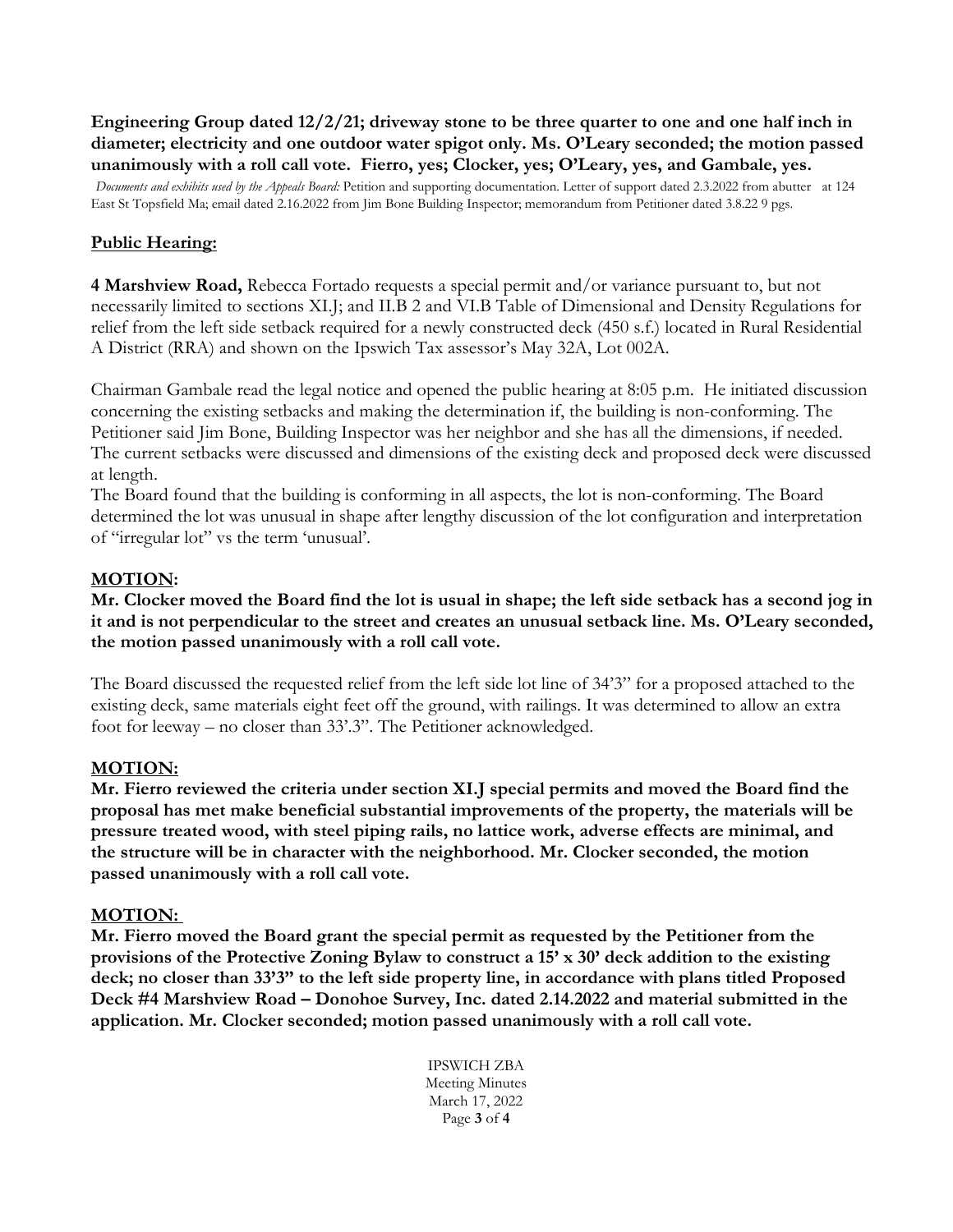**Engineering Group dated 12/2/21; driveway stone to be three quarter to one and one half inch in diameter; electricity and one outdoor water spigot only. Ms. O'Leary seconded; the motion passed unanimously with a roll call vote. Fierro, yes; Clocker, yes; O'Leary, yes, and Gambale, yes.**

*Documents and exhibits used by the Appeals Board:* Petition and supporting documentation. Letter of support dated 2.3.2022 from abutter at 124 East St Topsfield Ma; email dated 2.16.2022 from Jim Bone Building Inspector; memorandum from Petitioner dated 3.8.22 9 pgs.

## **Public Hearing:**

**4 Marshview Road,** Rebecca Fortado requests a special permit and/or variance pursuant to, but not necessarily limited to sections XI.J; and II.B 2 and VI.B Table of Dimensional and Density Regulations for relief from the left side setback required for a newly constructed deck (450 s.f.) located in Rural Residential A District (RRA) and shown on the Ipswich Tax assessor's May 32A, Lot 002A.

Chairman Gambale read the legal notice and opened the public hearing at 8:05 p.m. He initiated discussion concerning the existing setbacks and making the determination if, the building is non-conforming. The Petitioner said Jim Bone, Building Inspector was her neighbor and she has all the dimensions, if needed. The current setbacks were discussed and dimensions of the existing deck and proposed deck were discussed at length.

The Board found that the building is conforming in all aspects, the lot is non-conforming. The Board determined the lot was unusual in shape after lengthy discussion of the lot configuration and interpretation of "irregular lot" vs the term 'unusual'.

### **MOTION:**

**Mr. Clocker moved the Board find the lot is usual in shape; the left side setback has a second jog in it and is not perpendicular to the street and creates an unusual setback line. Ms. O'Leary seconded, the motion passed unanimously with a roll call vote.**

The Board discussed the requested relief from the left side lot line of 34'3" for a proposed attached to the existing deck, same materials eight feet off the ground, with railings. It was determined to allow an extra foot for leeway – no closer than 33'.3". The Petitioner acknowledged.

#### **MOTION:**

**Mr. Fierro reviewed the criteria under section XI.J special permits and moved the Board find the proposal has met make beneficial substantial improvements of the property, the materials will be pressure treated wood, with steel piping rails, no lattice work, adverse effects are minimal, and the structure will be in character with the neighborhood. Mr. Clocker seconded, the motion passed unanimously with a roll call vote.**

#### **MOTION:**

**Mr. Fierro moved the Board grant the special permit as requested by the Petitioner from the provisions of the Protective Zoning Bylaw to construct a 15' x 30' deck addition to the existing deck; no closer than 33'3" to the left side property line, in accordance with plans titled Proposed Deck #4 Marshview Road – Donohoe Survey, Inc. dated 2.14.2022 and material submitted in the application. Mr. Clocker seconded; motion passed unanimously with a roll call vote.**

> IPSWICH ZBA Meeting Minutes March 17, 2022 Page **3** of **4**